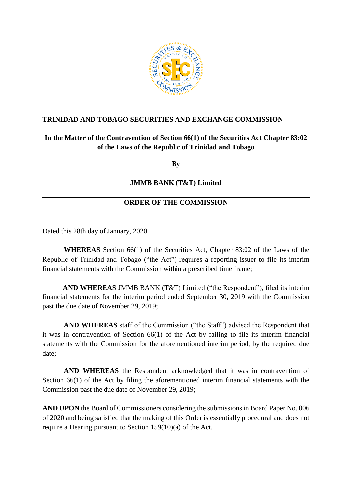

# **TRINIDAD AND TOBAGO SECURITIES AND EXCHANGE COMMISSION**

# **In the Matter of the Contravention of Section 66(1) of the Securities Act Chapter 83:02 of the Laws of the Republic of Trinidad and Tobago**

**By**

### **JMMB BANK (T&T) Limited**

# **ORDER OF THE COMMISSION**

Dated this 28th day of January, 2020

**WHEREAS** Section 66(1) of the Securities Act, Chapter 83:02 of the Laws of the Republic of Trinidad and Tobago ("the Act") requires a reporting issuer to file its interim financial statements with the Commission within a prescribed time frame;

 **AND WHEREAS** JMMB BANK (T&T) Limited ("the Respondent"), filed its interim financial statements for the interim period ended September 30, 2019 with the Commission past the due date of November 29, 2019;

**AND WHEREAS** staff of the Commission ("the Staff") advised the Respondent that it was in contravention of Section 66(1) of the Act by failing to file its interim financial statements with the Commission for the aforementioned interim period, by the required due date;

**AND WHEREAS** the Respondent acknowledged that it was in contravention of Section 66(1) of the Act by filing the aforementioned interim financial statements with the Commission past the due date of November 29, 2019;

**AND UPON** the Board of Commissioners considering the submissions in Board Paper No. 006 of 2020 and being satisfied that the making of this Order is essentially procedural and does not require a Hearing pursuant to Section 159(10)(a) of the Act.